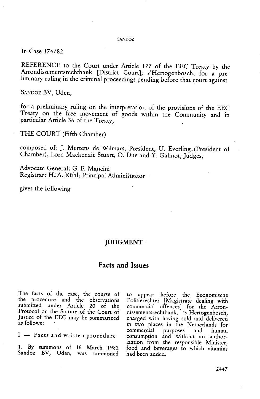In Case 174/82

REFERENCE to the Court under Article 177 of the EEC Treaty by the Arrondissementsrechtbank [District Court], s'Hertogenbosch, for a preliminary ruling in the criminal proceedings pending before that court against

SANDOZ BV, Uden,

for a preliminary ruling on the interpretation of the provisions of the EEC Treaty on the free movement of goods within the Community and in particular Article 36 of the Treaty,

THE COURT (Fifth Chamber)

composed of: J. Mertens de Wilmars, President, U. Everling (President of Chamber), Lord Mackenzie Stuart, O. Due and Y. Galmot, Judges,

Advocate General: G. F. Mancini Registrar: H.;A. Rühi, Principal.Administrator

gives the following

## JUDGMENT

# Facts and Issues

The facts of the case, the course of the procedure and the observations submitted under Article 20 of the Protocol on the Statute of the Court of Justice of the EEC may be summarized as follows :

I — Facts and written procedure

1. By summons of 16 March 1982 Sandoz BV, Uden, was summoned to appear before the Economische Politierechter [Magistrate dealing with commercial offences] for the Arrondissementsrechtbank, 's-Hertogenbosch, charged with having sold and delivered in two places in the Netherlands for commercial purposes and human consumption and without an authorization from the responsible Minister, food and beverages to which vitamins had been added.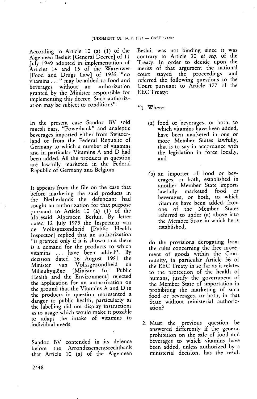According to Article 10 (a) (1) of the Algemeen Besluit [General Decree] of 11 July 1949 adopted in implementation of Articles 14 and 15 of the Warenwet [Food and Drugs Law] of 1935 "no vitamins ... " may be added to food and beverages without an authorization granted by the Minister responsible for implementing this decree. Such authorization may be subject to conditions".

In the present case Sandoz BV sold muesli bars, "Powerback" and analeptic beverages imported either from Switzerland or from the Federal Republic of Germany to which a number of vitamins and in particular Vitamins A and D had been added. All the products in question are lawfully marketed in the Federal Republic of Germany and Belgium.

It appears from the file on the case that before marketing the said products in the Netherlands the defendant had sought an authorization for that purpose pursuant to Article 10 (a) (1) of the aforesaid Algemeen Besluit. By letter dated 12 July 1979 the Inspecteur van de Volksgezondheid [Public Health Inspector] replied that an authorization "is granted only if it is shown that there is a demand for the products to which vitamins ... have been added". By<br>decision dated 26 August 1981 the decision dated 26 August 1981 Minister van Volksgezondheid en Milieuhygiëne [Minister for Public Health and the Environment] rejected the application for an authorization on the ground that the Vitamins A and D in the products in question represented a danger to public health, particularly as the labelling did not display instructions as to usage which would make it possible to adapt the intake of vitamins to individual needs.

Sandoz BV contended in its defence before the Arrondissementsrechtbank that Article 10 (a) of the Algemeen Besluit was not binding since it was contrary to Article 30 *et seq.* of the Treaty. In order to decide upon the merits of that argument the national<br>court staved the proceedings and court stayed the proceedings referred the following questions to the Court pursuant to Article 177 of the EEC Treaty:

- "1. Where:
	- (a) food or beverages, or both, to which vitamins have been added, have been marketed in one or more Member States lawfully, that is to say in accordance with the legislation in force locally, and
	- (b) an importer of food or beverages, or both, established in another Member State imports lawfully marketed food or beverages, or both, to which vitamins have been added, from one of the referred to under (a) above into the Member State in which he is established,

do the provisions derogating from the rules concerning the free movement of goods within the Community, in particular Article 36 of the EEC Treaty in so far as it relates to the protection of the health of humans, justify the government of the Member State of importation in prohibiting the marketing of such food or beverages, or both, in that State without ministerial authorization?

2. Must the previous question be answered differently if the general prohibition on the sale of food and beverages to which vitamins have been added, unless authorized by a ministerial decision, has the result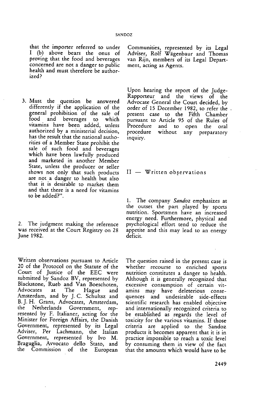that the importer referred to under I (b) above bears the onus of proving that the food and beverages concerned are not a danger to public health and must therefore be authorized?

3. Must the question be answered differently if the application of the general prohibition of the sale of food and beverages to which vitamins have been added, unless authorized by a ministerial decision, has the result that the national authorities of a Member State prohibit the sale of such food and beverages which have been lawfully produced and marketed in another Member State, unless the producer or seller shows not only that such products are not a danger to health but also that it is desirable to market them and that there is a need for vitamins to be added?".

2. The judgment making the reference was received at the Court Registry on 28 June 1982.

Written observations pursuant to Article 20 of the Protocol on the Statute of the Court of Justice of the EEC were submitted by Sandoz BV, represented by Blackstone, Rueb and Van Boeschoten, Advocates at The Hague and Amsterdam, and by J. C. Schultsz and B. J. H. Grans, Advocates, Amsterdam, the Netherlands Government, represented by F. Italianer, acting for the Minister for Foreign Affairs, the Danish Government, represented by its Legal Adviser, Per Lachmann, the Italian Government, represented by Ivo M. Braguglia, Avvocato dello Stato, and the Commission of the European

Communities, represented by its Legal Adviser, Rolf Wägenbaur and Thomas van Rijn, members of its Legal Department, acting as Agents.

Upon hearing the report of the Judgeand the views of the Advocate General the Court decided, by order of 15 December 1982, to refer the . present case to the Fifth Chamber pursuant to Article 95 of the Rules of Procedure and to open the oral procedure without any preparatory inquiry.

### $II -$  Written observations

1. The company *Sandoz* emphasizes at the outset the part played by sports nutrition. Sportsmen have an increased energy need. Furthermore, physical and psychological effort tend to reduce the appetite and this may lead to an energy deficit.

The question raised in the present case is whether recourse to enriched sports nutrition constitutes a danger to health. Although it is generally recognized that excessive consumption of certain vitamins may have deleterious consequences and undesirable side-effects scientific research has enabled objective and internationally recognized criteria to be established as regards the level of toxicity for the various vitamins. If those criteria are applied to the Sandoz products it becomes apparent that it is in practice impossible to reach a toxic level by consuming them in view of the fact that the amounts which would have to be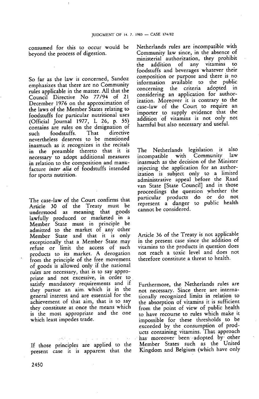consumed for this to occur would be beyond the process of digestion.

 $\cdot$ 

So far as the law is concerned, Sandoz emphasizes that there are no Community rules applicable in the matter. All that the Council Directive No 77/94 of 21 December 1976 on the approximation of the laws of the Member States relating to foodstuffs for particular nutritional uses (Official Journal 1977, L 26, p. 55) contains are rules on the designation of such foodstuffs. That directive nevertheless deserves to be mentioned inasmuch as it recognizes in the recitals in the preamble thereto that it is necessary to adopt additional measures in relation to the composition and manufacture *inter alia* of foodstuffs intended for sports nutrition.

The case-law of the Court confirms that Article 30 of the Treaty must be understood as meaning that goods lawfully produced or marketed in a Member State must in principle be admitted to the market of any other Member State and that it is only exceptionally that a Member State may refuse or limit the access of such products to its market. A derogation from the principle of the free movement of goods is allowed only if the national rules are necessary, that is to say appropriate and not excessive, in order to satisfy mandatory requirements and if they pursue an aim- which is in the general interest and are essential for the achievement of that aim, that is to say they constitute at once the means which is the most appropriate and the one which least impedes trade.

Bengal San Syria Sa If those principles are applied to the present case it is apparent that the Netherlands rules are incompatible with Community law since, in the absence of ministerial authorization, they prohibit the addition of any vitamins to foodstuffs and beverages whatever their composition or purpose and there is no information available to the public concerning the criteria adopted in considering an application for authorization. Moreover it is contrary to the case-law of the Court to require an importer to supply evidence that the addition of vitamins is not only not harmful but also necessary and useful.

The Netherlands legislation is also incompatible with inasmuch as the decision of the Minister rejecting the application for an authorization is subject only to a limited administrative appeal before the Raad van State [State Council] and in those proceedings the question whether the particular products do or do not represent a danger to public health cannot be considered.

Article 36 of the Treaty is not applicable in the present case since the addition of vitamins to the products in question does not reach a toxic level and does not therefore constitute a threat to health.

Furthermore, the Netherlands rules are not necessary. Since there are internationally recognized limits in relation to the absorption of vitamins it is sufficient from the point of view of public health to have recourse to rules which make it impossible for these thresholds to be exceeded by the consumption of products containing vitamins. That approach has moreover been -adopted by other Member States such as the United Kingdom and Belgium (which have only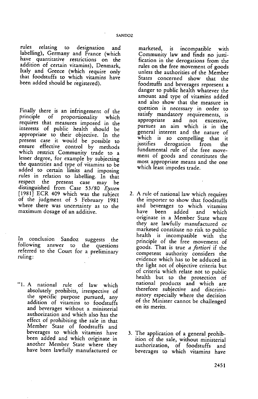rules relating to designation and labelling), Germany and France (which have quantitative restrictions on the addition of certain vitamins), Denmark, Italy and Greece (which require only that foodstuffs to which vitamins have been added should be registered).

Finally there is an infringement of the principle of proportionality which requires that measures imposed in the interests of public health should be appropriate to their objective. In the present case it would be possible to ensure effective control by methods which restrict Community trade to a lesser degree, for example by subjecting the quantities and type of vitamins to be added to certain limits and imposing rules in relation to labelling. In that respect the present case may be distinguished from Case 53/80 *Eyssen*  [1981] ECR 409 which was the subject of the judgment of 5 February 1981 where there was uncertainty as to the maximum dosage of an additive.

In conclusion Sandoz suggests the following answer to the questions referred to the Court for a preliminary ruling:

"1. A national rule of law which absolutely prohibits, irrespective of the specific purpose pursued, any addition of vitamins to foodstuffs and beverages without a ministerial authorization and which also has the effect of prohibiting the sale in that Member State of foodstuffs and beverages to which vitamins have been added and which originate in another Member State where they have been lawfully manufactured or

marketed, is incompatible with Community law and finds no justification in the derogations from the rules on the free movement of goods unless the authorities of the Member States concerned show that the foodstuffs and beverages represent a danger to public health whatever the amount and type of vitamins added and also show that the measure in question is necessary in order to satisfy mandatory requirements, is<br>appropriate and not excessive. not excessive, pursues an aim which is in the general interest and the nature of which is so compelling that it justifies derogation from the fundamental rule of the free movement of goods and constitutes the most appropriate means and the one which least impedes trade.

- 2. A rule of national law which requires the importer to show that foodstuffs and beverages to which vitamins have been added and which originate in a Member State where they are lawfully manufactured or marketed constitute no risk to public health is incompatible with the principle of the free movement of goods. That is true *a fortiori* if the competent authority considers the evidence which has to be adduced in the light not of objective criteria but of criteria which relate not to public health but to the protection of national products and which are therefore subjective and discriminatory especially where the decision of the Minister cannot be challenged on its merits.
- 3. The application of a general prohibition of the sale, without ministerial authorization, of foodstuffs and beverages to which vitamins have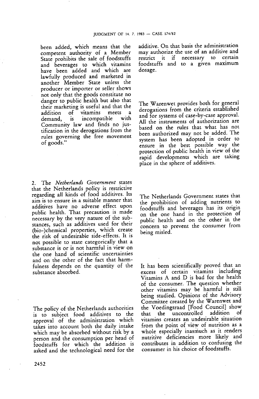been added, which means that the competent authority of a Member State prohibits the sale of foodstuffs and beverages to which vitamins have been added and which are lawfully produced and marketed in another Member State unless the producer or importer or seller shows not only that the goods constitute no danger to public health but also that their marketing is useful and that the<br>addition of vitamins meets a addition of vitamins meets a<br>demand, is incompatible with demand, is incompatible Community law and finds no justification in the derogations from the rules governing the free movement of goods."

2. The *Netherlands Government* states that the Netherlands policy is restrictive regarding all kinds of food additives. Its aim is to ensure in a suitable manner that additives have no adverse effect upon public health. That precaution is made necessary by the very nature of the substances, such as additives used for their (bio-)chemical properties, which create the risk of undesirable side-effects. It is not possible to state categorically that a substance is or is not harmful in view on the one hand of scientific uncertainties and on the other of the fact that harmfulness depends on the quantity of the substance absorbed.

The policy of the Netherlands authorities is to subject food additives to the approval of the administration which takes into account both the daily intake which may be absorbed without risk by a person and the consumption per head of foodstuffs for which the addition is asked and the technological need for the

additive. On that basis the administration may authorize the use of an additive and restrict it if necessary to certain foodstuffs and to a given maximum dosage.

The Warenwet provides both for general derogations from the criteria established and for systems of case-by-case approval. All the instruments of authorization are based on the rules that what has not been authorized may not be added. The system has been adopted in order to ensure in the best possible way the protection of public health in view of the rapid developments which are taking place in the sphere of additives.

The Netherlands Government states that the prohibition of adding nutrients to foodstuffs and beverages has its origin on the one hand in the protection of public health and on the other in the concern to prevent the consumer from being misled.

It has been scientifically proved that an excess of certain vitamins including Vitamins A and D is bad for the health of the consumer. The question whether other vitamins may be harmful is still being studied. Opinions of the Advisory Committee created by the Warenwet and the Voedingsraad [Food Council] show that the uncontrolled addition of vitamins creates an undesirable situation from the point of view of nutrition as a whole especially inasmuch as it renders nutritive deficiencies more likely and contributes in addition to confusing the consumer in his choice of foodstuffs.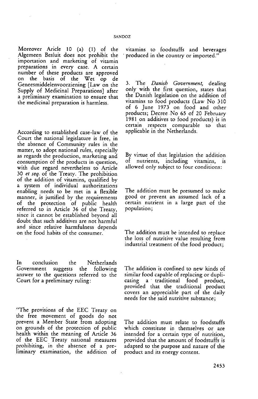Moreover Ariele 10 (a) (1) of the Algemeen Besluit does not prohibit the importation and marketing of vitamin preparations in every case. A certain number of these products are approved on the basis of the Wet op de Geneesmiddelenvoorziening [Law on the Supply of Medicinal Preparations] after a preliminary examination to ensure that the medicinal preparation is harmless.

According to established case-law of the Court the national legislature is free, in the absence of Community rules in the matter, to adopt national rules, especially as regards the production, marketing and consumption of the products in question, with due regard nevertheless to Article 30 *et seq.* of the Treaty. The prohibition of the addition of vitamins, qualified by a system of individual authorizations enabling needs to be met in a flexible manner, is justified by the requirements of the protection of public health referred to in Article 36 of the Treaty, since it cannot be established beyond all doubt that such additives are not harmful and since relative harmfulness depends on the food habits of the consumer.

In conclusion the Netherlands<br>Government suggests the following Government suggests answer to the questions referred to the Court for a preliminary ruling:

"The provisions of the EEC Treaty on the free movement of goods do not prevent a Member State from adopting on grounds of the protection of public health within the meaning of Article 36 of the EEC Treaty national measures prohibiting, in the absence of a preliminary examination, the addition of

vitamins to foodstuffs and beverages produced in the country or imported."

3. The *Danish Government,* dealing only with the first question, states that the Danish legislation on the addition of vitamins to food products (Law No 310 of 6 June 1973 on food and other products; Decree.No 65 of 20 February 1981 on additives to food products) is in certain respects comparable to that applicable in the Netherlands.

By virtue of that legislation the addition of nutrients, including vitamins, is allowed only subject to four conditions:

The addition must be presumed to make good or prevent an assumed lack of a certain nutrient in a large part of the population;

The addition must be intended to replace the loss of nutritive value resulting from industrial treatment of the food product;

The addition is confined to new kinds of similar food capable of replacing or duplicating a ' traditional food product, provided that the traditional product covers an appreciable part of the daily needs for the said nutritive substance;

The addition must relate to foodstuffs which constitute in themselves or are intended for a certain type of nutrition, provided that the amount of foodstuffs is adapted to the purpose and nature of the product and its energy content.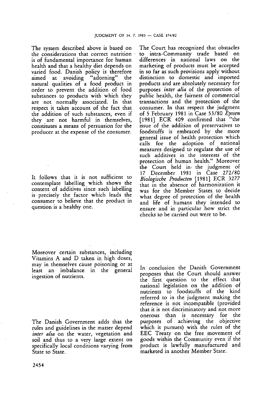The system described above is based on the considerations that correct nutrition is of fundamental importance for human health and that a healthy diet depends on varied food. Danish policy is therefore aimed at avoiding "adorning" the natural qualities of a food product in order to prevent the addition of food substances to products with which they are not normally associated. In that respect it takes account of the fact that the addition of such substances, even if they are not harmful in themselves, constitutes a means of persuasion for the producer at the expense of the consumer.

It follows that it is not sufficient to contemplate labelling which shows the content of additives since such labelling is precisely the factor which leads the consumer to believe that the product in question is a healthy one.

Moreover certain substances, including Vitamins A and D taken in high doses, may in themselves cause poisoning or at least an imbalance in the general ingestion of nutrients.

The Danish Government adds that the rules and guidelines in the matter depend *inter alia* on the water, vegetation and soil and thus to a very large extent on specifically local conditions varying from State to State.

The Court has recognized that obstacles to intra-Community trade based on differences in national laws on the marketing of products must be accepted in so far as such provisions apply without distinction to domestic and imported products and are absolutely necessary for purposes *inter alia* of the protection of public health, the fairness of commercial transactions and the protection of the consumer. In that respect the judgment of 5 February 1981 in Case 53/80 *Eyssen*  [1981] ECR 409 confirmed that "the issue of the addition of preservatives to foodstuffs is embraced by the more general issue of health protection which calls for the adoption of national measures designed to regulate the use of such additives in the interests of the protection of human health." Moreover the Court held in' the judgment of 17 December 1981 in Case 272/80 *Biologische Producten* [1981] ECR 3277 that in the absence of harmonization it was for the Member States, to decide what degree of protection of the health and life of humans they intended to ensure and in particular how strict the checks to be carried out were to be.

In conclusion the Danish Government proposes that the Court should answer the first question to the effect that national legislation on the addition of nutrients to foodstuffs of the kind referred to in the judgment making the reference is not incompatible (provided that it is not discriminatory and not more onerous than is necessary for the purposes of achieving the objective which it pursues) with the rules of the EEC Treaty on the free movement of goods within the Community even if the product is lawfully manufactured and marketed in another Member State.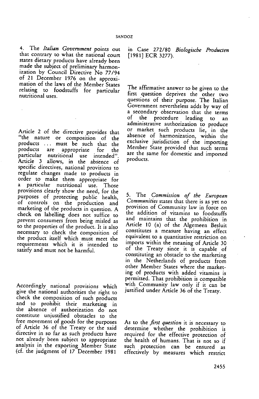4. The *Italian Government* points out that contrary to what the national court states dietary products have already been made the subject of preliminary harmonization by Council Directive No 77/94 of 21 December 1976 on the approximation of the laws of the Member States relating to foodstuffs for particular nutritional uses.

Article 2 of the directive provides that "the nature or composition of the products ... must be such that the<br>products are appropriate for the are appropriate for the particular nutritional use intended". Article 3 allows, in the absence of specific directives, national provisions to regulate changes made to products in order to make them appropriate for particular nutritional use. Those provisions clearly show the need, for the purposes of protecting public health, of controls on the production and marketing of the products in question. A check on labelling does not suffice to prevent consumers from being misled as to the properties of the product. It is also necessary to check the composition of the product itself which must meet the requirements which it is intended to satisfy and must not be harmful.

Accordingly national provisions which give the national authorities the right to check the composition of such products and to prohibit their marketing in the absence of authorization do not constitute unjustified obstacles to the free movement of goods for the purposes of Article 36 of the Treaty or the said directive in so far as such products have not already been subject to appropriate analysis in the exporting Member State (cf. the judgment of 17 December 1981

in Case 272/80 *Biologische Producten*  [1981] ECR 3277).

The affirmative answer to be given to the first question deprives the other two questions of their purpose. The Italian Government nevertheless adds by way of a secondary observation that the terms of the procedure leading to an administrative authorization to produce or market such products lie, in the absence of harmonization, within the exclusive jurisdiction of the importing Member State provided that such terms are the same for domestic and imported products.

5. The *Commission of the European Communities* states that there is as yet no provision of Community law in force on the addition of vitamins to foodstuffs and maintains that the prohibition in Article 10 (a) of the Algemeen Besluit constitutes a measure having an effect equivalent to a quantitative restriction on imports within the meaning of Article 30 of the Treaty since it is capable of constituting an obstacle to the marketing in the Netherlands of products from other Member States where the marketing of products with added vitamins is permitted. That prohibition is compatible with Community law only if it can be justified under Article 36 of the Treaty.

As to the *first question* it is necessary to determine whether the prohibition is required for the effective protection of the health of humans. That is not so if such protection can be ensured as effectively by measures which restrict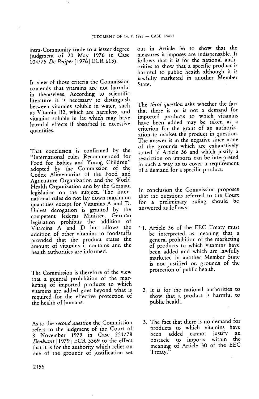intra-Community trade to a lesser degree (judgment of 20 May 1976 in Case 104/75 *DePeijper[l976]* ECR613).

π,

In view of those criteria the Commission contends that vitamins are not harmful in themselves. According to scientific literature it is necessary to distinguish between vitamins soluble in water, such as Vitamin B2, which are harmless, and vitamins soluble in fat which may have harmful effects if absorbed in excessive quantities.

That conclusion is confirmed by the "International rules Recommended for Food for Babies and Young Children" adopted by the Commission of the Codex Alimentarius of the Food and Agriculture Organization and the World Health Organization and by the German legislation on the subject. The international rules do not lay down maximum quantities except for Vitamins A and D. Unless derogation is granted by the competent federal Minister, German legislation prohibits the addition of Vitamins A and D but allows the addition of other vitamins to foodstuffs provided that the product states the amount of vitamins it contains and the health authorities are informed.

The Commission is therefore of the view that a general prohibition of the marketing of imported products to which vitamins are added goes beyond what is required for the effective protection of the health of humans.

As to the *second question* the Commission refers to the judgment of the Court of 8 November 1979 in Case 251/78 *Denkavit* [1979] ECR 3369 to the effect that it is for the authority which relies on one of the grounds of justification set out in Article 36 to show that the measures it imposes are indispensable. It follows that it is for the national authorities to show that a specific product is harmful to public health although it is lawfully marketed in another Member State.

The *third question* asks whether the fact that there is or is not a demand for imported products to which vitamins have been added may be taken as a criterion for the grant of an authorization to market the product in question. The answer is in the negative since none of the grounds which are exhaustively stated in Article 36 and which justify a restriction on imports can be interpreted in such a way as to cover a requirement of a demand for a specific product.

In conclusion the Commission proposes that the questions referred to the Court for a preliminary ruling should be answered as follows:

- "1. Article 36 of the EEC Treaty must be interpreted as meaning that a general prohibition of the marketing of products to which vitamins have been added and which are lawfully marketed in another Member State is not justified on grounds of the protection of public health.
	- 2. It is for the national authorities to show that a product is harmful to public health.
	- 3. The fact that there is no demand for products to which vitamins have<br>been added cannot justify an been added cannot justify obstacle to imports within the meaning of Article 30 of the EEC Treaty."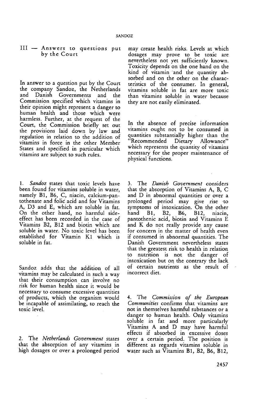$III$  — Answers to questions put by the Court

In answer to a question put by the Court the company Sandoz, the Netherlands and Danish Governments and the Commission specified which vitamins in their opinion might represent a danger to human health and those which were harmless. Further, at the request of the Court, the Commission briefly set out the provisions laid down by law and regulation in relation to the addition of vitamins in force in the other Member States and specified in particular which vitamins are subject to such rules.

1. *Sandoz* states that toxic levels have been found for vitamins soluble in water, namely B1, B6, C, niacin, calcium-pantothenate and folic acid and for Vitamins A, D3 and E, which are soluble in fat. On the other hand, no harmful sideeffect has been recorded in the case of Vitamins B2, B12 and biotin which are soluble in water. No toxic level has been established for Vitamin Kl which is soluble in fat.

Sandoz adds that the addition of all vitamins may be calculated in such a way that their consumption can involve no risk for human health since it would be necessary to consume excessive quantities of products, which the organism would be incapable of assimilating, to reach the toxic level.

2. The *Netherlands Government* states that the absorption of any vitamins in high dosages or over a prolonged period

may create health risks. Levels at which dosages may prove to be toxic are nevertheless not yet sufficiently known. Toxicity depends on the one hand on the kind of vitamin and the quantity absorbed and on the other on the characteristics of the consumer. In general, vitamins soluble in fat are more toxic than vitamins soluble in water because they are not easily eliminated.

In the absence of precise information vitamins ought not to be consumed in quantities substantially higher than the "Recommended Dietary Allowance" which represents the quantity of vitamins necessary for the proper maintenance of physical functions.

3. The *Danish Government* considers that the absorption of Vitamins A, B, C and D in abnormal quantities or over a prolonged period may give rise to symptoms of intoxication. On the other hand Bl, B2, B6, B12, niacin, pantothenic acid, biotin and Vitamins E and K do not really provide any cause for concern in the matter of health even if consumed in abnormal quantities. The Danish Government nevertheless states that the greatest risk to health in relation to nutrition is not the danger of intoxication but on the contrary the lack of certain nutrients as the result of incorrect diet.

4. The *Commission of the European Communities* confirms that vitamins are not in themselves harmful substances or a danger to human health. Only vitamins soluble in fat and more particularly Vitamins A and D may have harmful effects if absorbed in excessive doses over a certain period. The position is different as regards vitamins soluble in water such as Vitamins Bl, B2, B6, B12,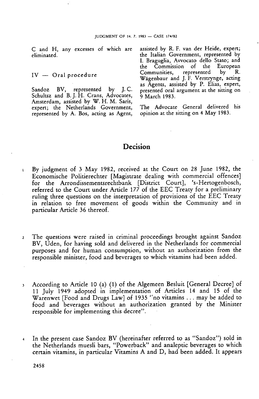C and H, any excesses of which are eliminated.

IV — Oral procedure

Sandoz BV, represented by J. C. Schultsz and B. J. H. Crans, Advocates, Amsterdam, assisted by W. H. M. Saris, expert; the Netherlands Government, represented by A. Bos, acting as Agent, assisted by R. F. van der Heide, expert; the Italian Government, represented by I. Braguglia, Avvocato dello Stato; and the Commission of the European<br>Communities, represented by R. represented Wägenbaur and J. F. Verstrynge, acting as Agents, assisted by P. Elias, expert, presented oral argument at the sitting on 9 March 1983.

The Advocate General delivered his opinion at the sitting on 4 May 1983.

# Decision

- 1 By judgment of 3 May 1982, received at the Court on 28 June 1982, the Economische Politierechter [Magistrate dealing with commercial offences] for the Arrondissementsrechtbank [District Court], 's-Hertogenbosch, referred to the Court under Article 1*77* of the EEC Treaty for a preliminary ruling three questions on the interpretation of provisions of the EEC Treaty in relation to free movement of goods within the Community and in particular Article 36 thereof.
- 2 The questions were raised in criminal proceedings brought against Sandoz BV, Uden, for having sold and delivered in the Netherlands for commercial purposes and for human consumption, without an authorization from the responsible minister, food and beverages to which vitamins had been added.
- 3 According to Article 10 (a) (1) of the Algemeen Besluit [General Decree] of 11 July 1949 adopted in implementation of Articles 14 and 15 of the Warenwet [Food and Drugs Law] of 1935 "no vitamins . .. may be added to food and beverages without an authorization granted by the Minister responsible for implementing this decree".
- 4 In the present case Sandoz BV (hereinafter referred to as "Sandoz") sold in the Netherlands muesli bars, "Powerback" and analeptic beverages to which certain vitamins, in particular Vitamins A and D, had been added. It appears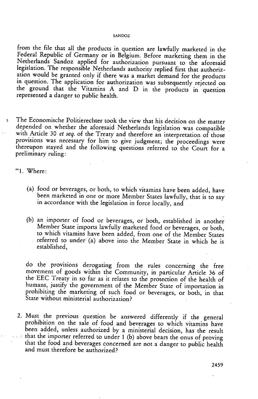from the file that all the products in question are lawfully marketed in the Federal Republic of Germany or in Belgium. Before marketing them in the Netherlands Sandoz applied for authorization pursuant to the aforesaid legislation. The responsible Netherlands authority replied first that authorization would be granted only if there was a market demand for the products in question. The application for authorization was subsequently rejected on the ground that the Vitamins A and D in the products in question represented a danger to public health.

5 The Economische Politierechter took the view that his decision on the matter depended on whether the aforesaid Netherlands legislation was compatible with Article 30 *et seq.* of the Treaty and therefore an interpretation of those provisions was necessary for him to give judgment; the proceedings were thereupon stayed and the following questions referred to the Court for a preliminary ruling:

"1. Where:

- (a) food or beverages, or both, to which vitamins have been added, have been marketed in one or more Member States lawfully, that is to say in accordance with the legislation in force locally, and
- (b) an importer of food or beverages, or both, established in another Member State imports lawfully marketed food or beverages, or both, to which vitamins have been added, from one of the Member States referred to under (a) above into the Member State in which he is established,

do the provisions derogating from the rules concerning the free movement of goods within the Community, in particular Article 36 of the EEC Treaty in so far as it relates to the protection of the health of humans, justify the government of the Member State of importation in prohibiting the marketing of such food or beverages, or both, in that State without ministerial authorization?

2. Must the previous question be answered differently if the general prohibition on the sale of food and beverages to which vitamins have been added, unless authorized by a ministerial decision, has the result that the importer referred to under 1 (b) above bears the onus of proving that the food and beverages concerned are not a danger to public health and must therefore be authorized?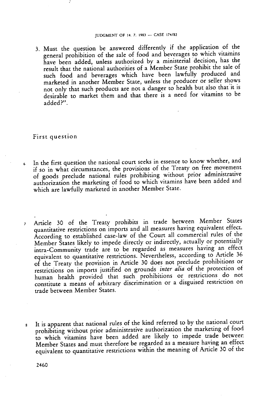3. Must the question be answered differently if the application of the general prohibition of the sale of food and beverages to which vitamins have been added, unless authorized by a ministerial decision, has the result that the national authorities of a Member State prohibit the sale of such food and beverages which have been lawfully produced and marketed in another Member State, unless the producer or seller shows not only that such products are not a danger to health but also that it is desirable to market them and that there is a need for vitamins to be added?".

### First question

- In the first question the national court seeks in essence to know whether, and if so in what circumstances, the provisions of the Treaty on free movement of goods preclude national rules prohibiting without prior administrative authorization the marketing of food to which vitamins have been added and which are lawfully marketed in another Member State.
- Article 30 of the Treaty prohibits in trade between Member States quantitative restrictions on imports and all measures having equivalent effect. According to established case-law of the Court all commercial rules of the Member States likely to impede directly or indirectly, actually or potentially intra-Community trade are to be regarded as measures having an effect equivalent to quantitative restrictions. Nevertheless, according to Article 36 of the Treaty the provision in Article 30 does not preclude prohibitions or restrictions on imports justified on grounds *inter alia* of the protection of human health provided that such prohibitions or restrictions do not constitute a means of arbitrary discrimination or a disguised restriction on trade between Member States.
- s It is apparent that national rules of the kind referred to by the national court prohibiting without prior administrative authorization the marketing of food to which vitamins have been added are likely to impede trade between Member States and must therefore be regarded as a measure having an effect equivalent to quantitative restrictions within the meaning of Article 30 of the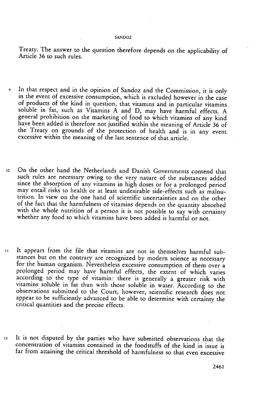Treaty. The answer to the question therefore depends on the applicability of Article 36 to such rules.

- 9 In that respect and in the opinion of Sandoz and the Commission, it is only in the event of excessive consumption, which is excluded however in the case of products of the kind in question, that vitamins and in particular vitamins soluble in fat, such as Vitamins  $\vec{A}$  and  $D$ , may have harmful effects. A general prohibition on the marketing of food to which vitamins of any kind have been added is therefore not justified within the meaning of Article 36 of the Treaty on grounds of the protection of health and is in any event excessive within the meaning of the last sentence of that article.
- io On the other hand the Netherlands and Danish Governments contend that such rules are necessary owing to the very nature of the substances added since the absorption of any vitamins in high doses or for a prolonged period may entail risks to health or at least undesirable side-effects such as malnutrition. In view on the one hand of scientific uncertainties and on the other of the fact that the harmfulness of vitamins depends on the quantity absorbed with the whole nutrition of a person it is not possible to say with certainty whether any food to which vitamins have been added is harmful or not.
- n It appears from the file that vitamins are not in themselves harmful substances but on the contrary are recognized by modern science as necessary for the human organism. Nevertheless excessive consumption of them over a prolonged period may have harmful effects, the extent of which varies according to the type of vitamin: there is generally a greater risk with vitamins soluble in fat than with those soluble in water. According to the observations submitted to the Court, however, scientific research does not appear to be sufficiently advanced to be able to determine with certainty the critical quantities and the precise effects.
- i2 It is not disputed by the parties who have submitted observations that the concentration of vitamins contained in the foodstuffs of the kind in issue is far from attaining the critical threshold of harmfulness so that even excessive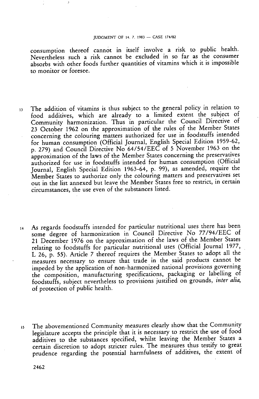### JUDGMENT OF 14. 7. 1983 — CASE 174/82

consumption thereof cannot in itself involve a risk to public health. Nevertheless such a risk cannot be excluded in so far as the consumer absorbs with other foods further quantities of vitamins which it is impossible to monitor or foresee.

- 13 The addition of vitamins is thus subject to the general policy in relation to food additives, which are already to a limited extent the subject of Community harmonization. Thus in particular the Council Directive of 23 October 1962 on the approximation of the rules of the Member States concerning the colouring matters authorized for use in foodstuffs intended for human consumption (Official Journal, English Special Edition 1959-62, p. 279) and Council Directive No 64/54/EEC of 5 November 1963 on the approximation of the laws of the Member States concerning the preservatives authorized for use in foodstuffs intended for human consumption (Official Journal, English Special Edition 1963-64, p. 99), as amended, require the Member States to authorize only the colouring matters and preservatives set out in the list annexed but leave the Member States free to restrict, in certain circumstances, the use even of the substances listed.
- u As regards foodstuffs intended for particular nutritional uses there has been some degree of harmonization in Council Directive No 77/94/EEC of 21 December 1976 on the approximation of the laws of the Member States relating to foodstuffs for particular nutritional uses (Official Journal 1977, L 26, p. 55). Article 7 thereof requires the Member States to adopt all the measures necessary to ensure that trade in the said products cannot be impeded by the application of non-harmonized national provisions governing the composition, manufacturing specifications, packaging or labelling of foodstuffs, subject nevertheless to provisions justified on grounds, *inter alia,*  of protection of public health.
- is The abovementioned Community measures clearly show that the Community legislature accepts the principle that it is necessary to restrict the use of food additives to the substances specified, whilst leaving the Member States a certain discretion to adopt stricter rules. The measures thus testify to great prudence regarding the potential harmfulness of additives, the extent of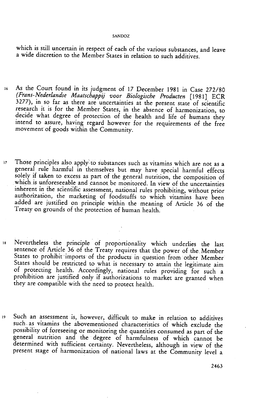which is still uncertain in respect of each of the various substances, and leave a wide discretion to the Member States in relation to such additives.

- i6 As the Court found in its judgment of 17 December 1981 in Case 272/80 *(Frans-Nederlandse Maatschappij voor Biologische Producten* [1981] ECR  $3277$ ), in so far as there are uncertainties at the present state of scientific research it is for the Member States, in the absence of harmonization, to decide what degree of protection of the health and life of humans they intend to assure, having regard however for the requirements of the free movement of goods within the Community.
- 17 Those principles also apply to substances such as vitamins which are not as a general rule harmful in themselves but may have special harmful effects solely if taken to excess as part of the general nutrition, the composition of which is unforeseeable and cannot be monitored. In view of the uncertainties inherent in the scientific assessment, national rules prohibiting, without prior authorization, the marketing of foodstuffs to which vitamins have been added are justified on principle within the meaning of Article 36 of the Treaty on grounds of the protection of human health.
- is Nevertheless the principle of proportionality which underlies the last sentence of Article 36 of the Treaty requires that the power of the.Member States to prohibit imports of the products in question from other Member States should be restricted to what is necessary to attain the legitimate aim of protecting health. Accordingly, national rules providing for such a prohibition are justified only if authorizations to market are granted when they are compatible with the need to protect health.
- i9 Such an assessment is, however, difficult to make in relation to additives such, as vitamins the abovementioned characteristics of which exclude the possibility of foreseeing or monitoring the quantities consumed as part of the general nutrition and the degree of harmfulness of which cannot be determined with sufficient certainty. Nevertheless, although in view of the present stage of harmonization of national laws at the Community level a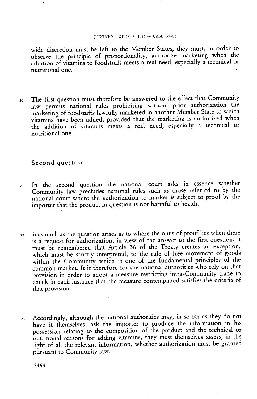#### JUDGMENT OF 14. 7. 1983 — CASE 174/82

wide discretion must be left to the Member States, they must, in order to observe the principle of proportionality, authorize marketing when the addition of vitamins to foodstuffs meets a real need, especially a technical or nutritional one.

20 The first question must therefore be answered to the effect that Community law permits national rules prohibiting without prior authorization the marketing of foodstuffs lawfully marketed in another Member State to which vitamins have been added, provided that the marketing is authorized when the addition of vitamins meets a real need, especially a technical or nutritional one.

### Second question

- 21 In the second question the national court asks in essence whether Community law precludes national rules such as those referred to by the national court where the authorization to market is subject to proof by the importer that the product in question is not harmful to health.
- 22 Inasmuch as the question arises as to where the onus of proof lies when there is a request for authorization, in view of the answer to the first question, it must be remembered that Article 36 of the Treaty creates an exception, which must be strictly interpreted, to the rule of free movement of goods within the Community which is one of the fundamental principles of the common market. It is therefore for the national authorities who rely on that provision in order to adopt a measure restricting intra-Community trade to check in each instance that the measure contemplated satisfies the criteria of that provision.
- 23 Accordingly, although the national authorities may, in so far as they do not have it themselves, ask the importer to produce the information in his possession relating to the composition of the product and the technical or nutritional reasons for adding vitamins, they must themselves assess, in the light of all the relevant information, whether authorization must be granted pursuant to Community law.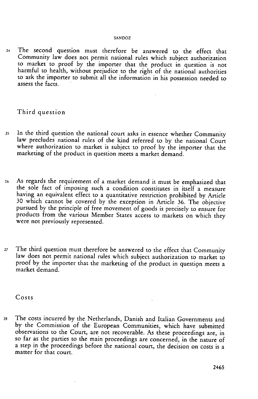24 The second question must therefore be answered to the effect that Community law does not permit national rules which subject authorization to market to proof by the importer that the product in question is not harmful to health, without prejudice to the right of the national authorities to ask the importer to submit all the information in his possession needed to assess the facts.

Third question

- 25 In the third question the national court asks in essence whether Community law precludes national rules of the kind referred to by the national Court where authorization to market is subject to proof by the importer that the marketing of the product in question meets a market demand.
- 26 As regards the requirement of a market demand it must be emphasized that the sole fact of imposing such a condition constitutes in itself a measure having an equivalent effect to a quantitative restriction prohibited by Article 30 which cannot be covered by the exception in Article 36. The objective pursued by the principle of free movement of goods is precisely to ensure for products from the various Member States access to markets on which they were not previously represented.
- 27 The third question must therefore be answered to the effect that Community law does not permit national rules which subject authorization to market to proof by the importer that the marketing of the product in question meets a market demand.

Costs

28 The costs incurred by the Netherlands, Danish and Italian Governments and by the Commission of the European Communities, which have submitted observations to the Court, are not recoverable. As these proceedings are, in so far as the parties to the main proceedings are concerned, in the nature of a step in the proceedings before the national court, the decision on costs is a matter for that court.